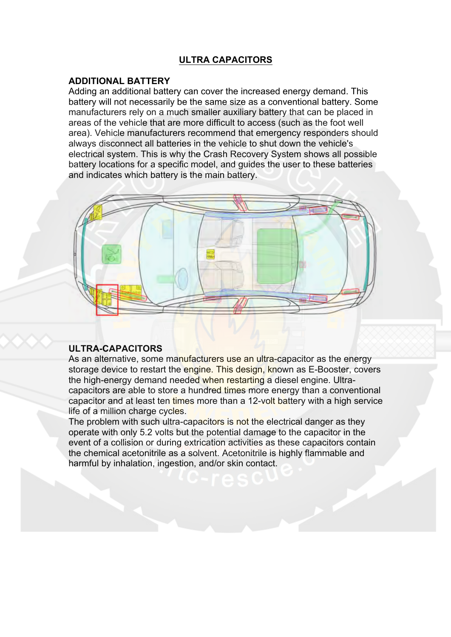## **ULTRA CAPACITORS**

## **ADDITIONAL BATTERY**

Adding an additional battery can cover the increased energy demand. This battery will not necessarily be the same size as a conventional battery. Some manufacturers rely on a much smaller auxiliary battery that can be placed in areas of the vehicle that are more difficult to access (such as the foot well area). Vehicle manufacturers recommend that emergency responders should always disconnect all batteries in the vehicle to shut down the vehicle's electrical system. This is why the Crash Recovery System shows all possible battery locations for a specific model, and guides the user to these batteries and indicates which battery is the main battery.



## **ULTRA-CAPACITORS**

As an alternative, some manufacturers use an ultra-capacitor as the energy storage device to restart the engine. This design, known as E-Booster, covers the high-energy demand needed when restarting a diesel engine. Ultracapacitors are able to store a hundred times more energy than a conventional capacitor and at least ten times more than a 12-volt battery with a high service life of a million charge cycles.

The problem with such ultra-capacitors is not the electrical danger as they operate with only 5.2 volts but the potential damage to the capacitor in the event of a collision or during extrication activities as these capacitors contain the chemical acetonitrile as a solvent. Acetonitrile is highly flammable and harmful by inhalation, ingestion, and/or skin contact.